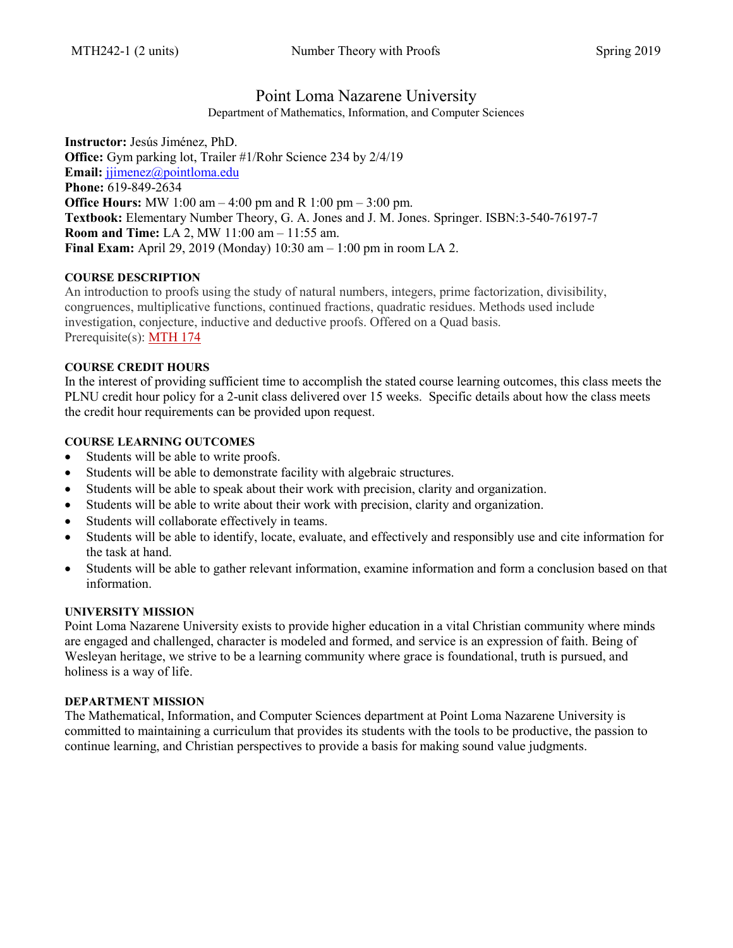# Point Loma Nazarene University

Department of Mathematics, Information, and Computer Sciences

**Instructor:** Jesús Jiménez, PhD. **Office:** Gym parking lot, Trailer #1/Rohr Science 234 by 2/4/19 **Email:** [jjimenez@pointloma.edu](mailto:jjimenez@pointloma.edu) **Phone:** 619-849-2634 **Office Hours:** MW 1:00 am – 4:00 pm and R 1:00 pm – 3:00 pm. **Textbook:** Elementary Number Theory, G. A. Jones and J. M. Jones. Springer. ISBN:3-540-76197-7 **Room and Time:** LA 2, MW 11:00 am – 11:55 am. **Final Exam:** April 29, 2019 (Monday) 10:30 am – 1:00 pm in room LA 2.

## **COURSE DESCRIPTION**

An introduction to proofs using the study of natural numbers, integers, prime factorization, divisibility, congruences, multiplicative functions, continued fractions, quadratic residues. Methods used include investigation, conjecture, inductive and deductive proofs. Offered on a Quad basis. Prerequisite(s): [MTH 174](https://catalog.pointloma.edu/content.php?filter%5B27%5D=MTH&filter%5B29%5D=242&filter%5Bcourse_type%5D=-1&filter%5Bkeyword%5D=&filter%5B32%5D=1&filter%5Bcpage%5D=1&cur_cat_oid=35&expand=&navoid=2144&search_database=Filter#tt1418)

#### **COURSE CREDIT HOURS**

In the interest of providing sufficient time to accomplish the stated course learning outcomes, this class meets the PLNU credit hour policy for a 2-unit class delivered over 15 weeks. Specific details about how the class meets the credit hour requirements can be provided upon request.

## **COURSE LEARNING OUTCOMES**

- Students will be able to write proofs.
- Students will be able to demonstrate facility with algebraic structures.
- Students will be able to speak about their work with precision, clarity and organization.
- Students will be able to write about their work with precision, clarity and organization.
- Students will collaborate effectively in teams.
- Students will be able to identify, locate, evaluate, and effectively and responsibly use and cite information for the task at hand.
- Students will be able to gather relevant information, examine information and form a conclusion based on that information.

#### **UNIVERSITY MISSION**

Point Loma Nazarene University exists to provide higher education in a vital Christian community where minds are engaged and challenged, character is modeled and formed, and service is an expression of faith. Being of Wesleyan heritage, we strive to be a learning community where grace is foundational, truth is pursued, and holiness is a way of life.

#### **DEPARTMENT MISSION**

The Mathematical, Information, and Computer Sciences department at Point Loma Nazarene University is committed to maintaining a curriculum that provides its students with the tools to be productive, the passion to continue learning, and Christian perspectives to provide a basis for making sound value judgments.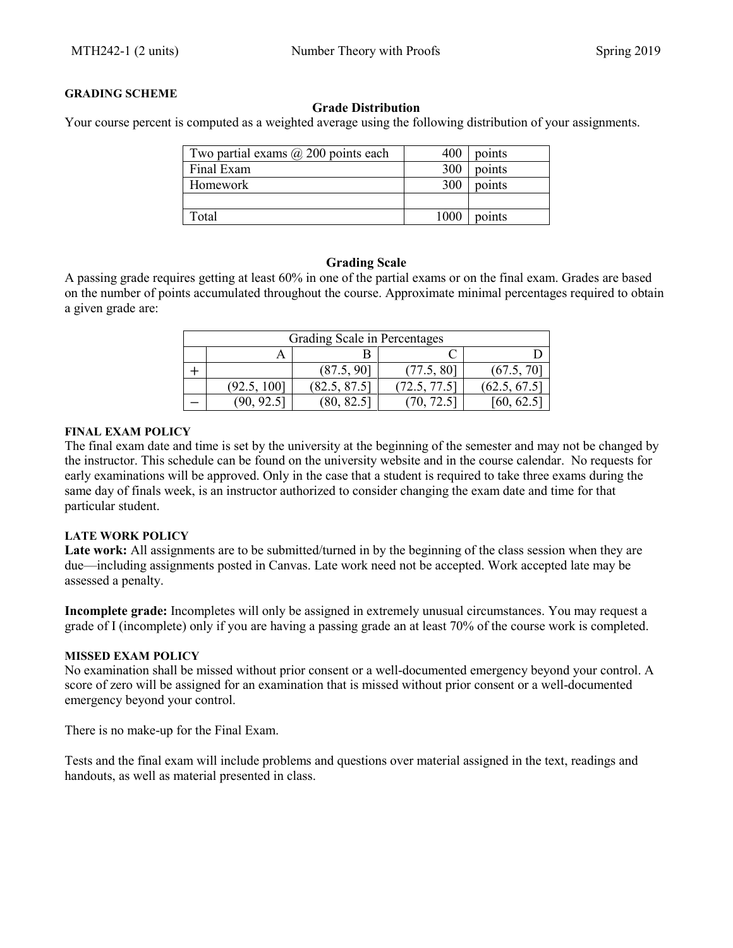## **GRADING SCHEME**

#### **Grade Distribution**

Your course percent is computed as a weighted average using the following distribution of your assignments.

| Two partial exams $\omega$ 200 points each | 400  | points |
|--------------------------------------------|------|--------|
| Final Exam                                 | 300  | points |
| Homework                                   | 300  | points |
|                                            |      |        |
| `otal                                      | 1000 | points |

## **Grading Scale**

A passing grade requires getting at least 60% in one of the partial exams or on the final exam. Grades are based on the number of points accumulated throughout the course. Approximate minimal percentages required to obtain a given grade are:

| Grading Scale in Percentages |             |              |              |              |  |  |
|------------------------------|-------------|--------------|--------------|--------------|--|--|
|                              |             |              |              |              |  |  |
|                              |             | (87.5, 90]   | (77.5, 80)   | (67.5, 70)   |  |  |
|                              | (92.5, 100] | (82.5, 87.5) | (72.5, 77.5) | (62.5, 67.5) |  |  |
|                              |             | (80, 82.5)   |              | [60, 62.5]   |  |  |

#### **FINAL EXAM POLICY**

The final exam date and time is set by the university at the beginning of the semester and may not be changed by the instructor. This schedule can be found on the university website and in the course calendar. No requests for early examinations will be approved. Only in the case that a student is required to take three exams during the same day of finals week, is an instructor authorized to consider changing the exam date and time for that particular student.

## **LATE WORK POLICY**

Late work: All assignments are to be submitted/turned in by the beginning of the class session when they are due—including assignments posted in Canvas. Late work need not be accepted. Work accepted late may be assessed a penalty.

**Incomplete grade:** Incompletes will only be assigned in extremely unusual circumstances. You may request a grade of I (incomplete) only if you are having a passing grade an at least 70% of the course work is completed.

#### **MISSED EXAM POLICY**

No examination shall be missed without prior consent or a well-documented emergency beyond your control. A score of zero will be assigned for an examination that is missed without prior consent or a well-documented emergency beyond your control.

There is no make-up for the Final Exam.

Tests and the final exam will include problems and questions over material assigned in the text, readings and handouts, as well as material presented in class.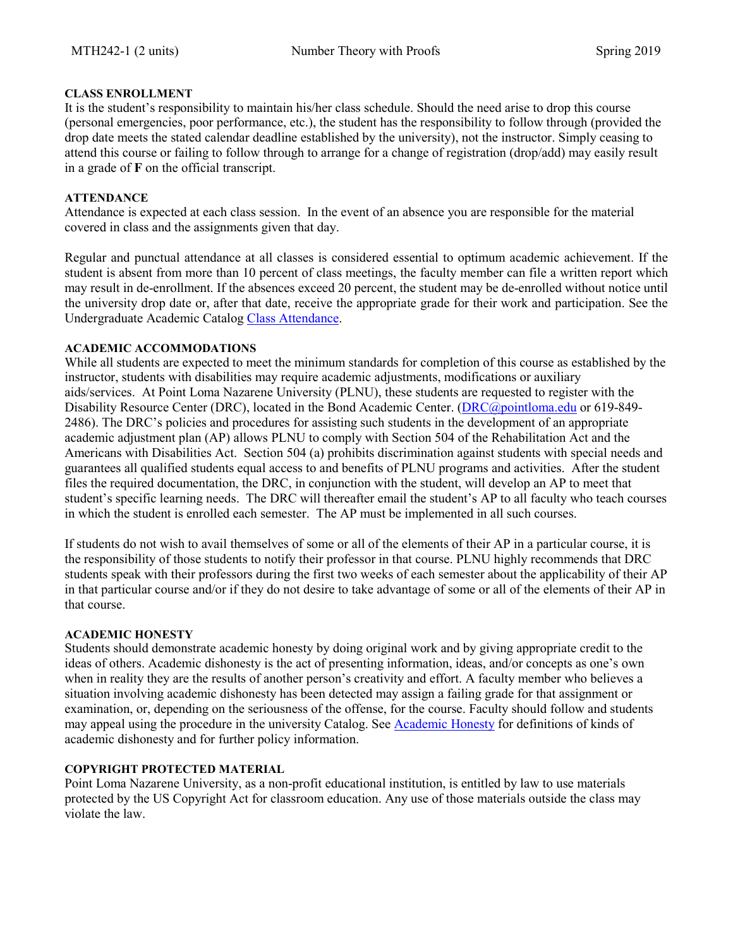## **CLASS ENROLLMENT**

It is the student's responsibility to maintain his/her class schedule. Should the need arise to drop this course (personal emergencies, poor performance, etc.), the student has the responsibility to follow through (provided the drop date meets the stated calendar deadline established by the university), not the instructor. Simply ceasing to attend this course or failing to follow through to arrange for a change of registration (drop/add) may easily result in a grade of **F** on the official transcript.

## **ATTENDANCE**

Attendance is expected at each class session. In the event of an absence you are responsible for the material covered in class and the assignments given that day.

Regular and punctual attendance at all classes is considered essential to optimum academic achievement. If the student is absent from more than 10 percent of class meetings, the faculty member can file a written report which may result in de-enrollment. If the absences exceed 20 percent, the student may be de-enrolled without notice until the university drop date or, after that date, receive the appropriate grade for their work and participation. See the Undergraduate Academic Catalog [Class Attendance.](https://catalog.pointloma.edu/content.php?catoid=35&navoid=2136#Class_Attendance)

#### **ACADEMIC ACCOMMODATIONS**

While all students are expected to meet the minimum standards for completion of this course as established by the instructor, students with disabilities may require academic adjustments, modifications or auxiliary aids/services. At Point Loma Nazarene University (PLNU), these students are requested to register with the Disability Resource Center (DRC), located in the Bond Academic Center. [\(DRC@pointloma.edu](mailto:DRC@pointloma.edu) or 619-849- 2486). The DRC's policies and procedures for assisting such students in the development of an appropriate academic adjustment plan (AP) allows PLNU to comply with Section 504 of the Rehabilitation Act and the Americans with Disabilities Act. Section 504 (a) prohibits discrimination against students with special needs and guarantees all qualified students equal access to and benefits of PLNU programs and activities. After the student files the required documentation, the DRC, in conjunction with the student, will develop an AP to meet that student's specific learning needs. The DRC will thereafter email the student's AP to all faculty who teach courses in which the student is enrolled each semester. The AP must be implemented in all such courses.

If students do not wish to avail themselves of some or all of the elements of their AP in a particular course, it is the responsibility of those students to notify their professor in that course. PLNU highly recommends that DRC students speak with their professors during the first two weeks of each semester about the applicability of their AP in that particular course and/or if they do not desire to take advantage of some or all of the elements of their AP in that course.

#### **ACADEMIC HONESTY**

Students should demonstrate academic honesty by doing original work and by giving appropriate credit to the ideas of others. Academic dishonesty is the act of presenting information, ideas, and/or concepts as one's own when in reality they are the results of another person's creativity and effort. A faculty member who believes a situation involving academic dishonesty has been detected may assign a failing grade for that assignment or examination, or, depending on the seriousness of the offense, for the course. Faculty should follow and students may appeal using the procedure in the university Catalog. See **Academic Honesty** for definitions of kinds of academic dishonesty and for further policy information.

#### **COPYRIGHT PROTECTED MATERIAL**

Point Loma Nazarene University, as a non-profit educational institution, is entitled by law to use materials protected by the US Copyright Act for classroom education. Any use of those materials outside the class may violate the law.